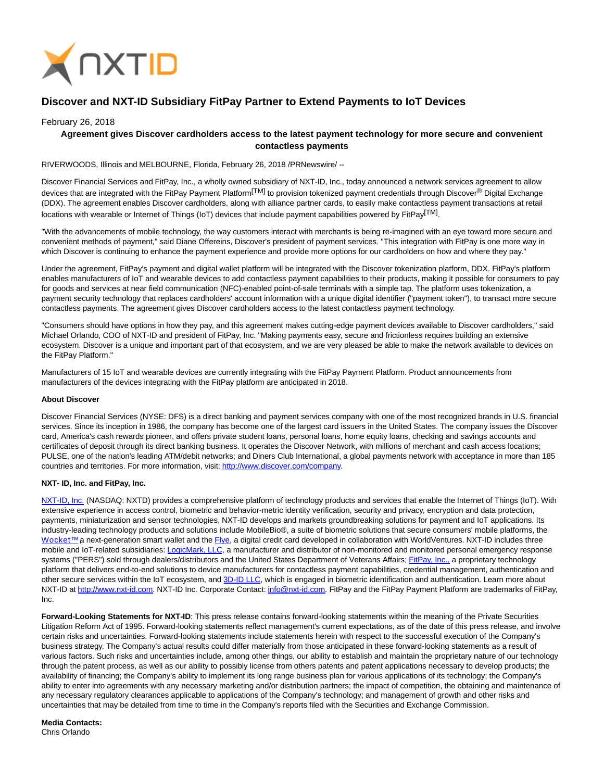

# **Discover and NXT-ID Subsidiary FitPay Partner to Extend Payments to IoT Devices**

### February 26, 2018

## **Agreement gives Discover cardholders access to the latest payment technology for more secure and convenient contactless payments**

RIVERWOODS, Illinois and MELBOURNE, Florida, February 26, 2018 /PRNewswire/ --

Discover Financial Services and FitPay, Inc., a wholly owned subsidiary of NXT-ID, Inc., today announced a network services agreement to allow devices that are integrated with the FitPay Payment Platform<sup>[TM]</sup> to provision tokenized payment credentials through Discover<sup>®</sup> Digital Exchange (DDX). The agreement enables Discover cardholders, along with alliance partner cards, to easily make contactless payment transactions at retail locations with wearable or Internet of Things (IoT) devices that include payment capabilities powered by FitPay<sup>[TM]</sup>.

"With the advancements of mobile technology, the way customers interact with merchants is being re-imagined with an eye toward more secure and convenient methods of payment," said Diane Offereins, Discover's president of payment services. "This integration with FitPay is one more way in which Discover is continuing to enhance the payment experience and provide more options for our cardholders on how and where they pay."

Under the agreement, FitPay's payment and digital wallet platform will be integrated with the Discover tokenization platform, DDX. FitPay's platform enables manufacturers of IoT and wearable devices to add contactless payment capabilities to their products, making it possible for consumers to pay for goods and services at near field communication (NFC)-enabled point-of-sale terminals with a simple tap. The platform uses tokenization, a payment security technology that replaces cardholders' account information with a unique digital identifier ("payment token"), to transact more secure contactless payments. The agreement gives Discover cardholders access to the latest contactless payment technology.

"Consumers should have options in how they pay, and this agreement makes cutting-edge payment devices available to Discover cardholders," said Michael Orlando, COO of NXT-ID and president of FitPay, Inc. "Making payments easy, secure and frictionless requires building an extensive ecosystem. Discover is a unique and important part of that ecosystem, and we are very pleased be able to make the network available to devices on the FitPay Platform."

Manufacturers of 15 IoT and wearable devices are currently integrating with the FitPay Payment Platform. Product announcements from manufacturers of the devices integrating with the FitPay platform are anticipated in 2018.

#### **About Discover**

Discover Financial Services (NYSE: DFS) is a direct banking and payment services company with one of the most recognized brands in U.S. financial services. Since its inception in 1986, the company has become one of the largest card issuers in the United States. The company issues the Discover card, America's cash rewards pioneer, and offers private student loans, personal loans, home equity loans, checking and savings accounts and certificates of deposit through its direct banking business. It operates the Discover Network, with millions of merchant and cash access locations; PULSE, one of the nation's leading ATM/debit networks; and Diners Club International, a global payments network with acceptance in more than 185 countries and territories. For more information, visit[: http://www.discover.com/company.](http://www.discover.com/company)

#### **NXT- ID, Inc. and FitPay, Inc.**

[NXT-ID, Inc. \(](http://www.nxt-id.com/)NASDAQ: NXTD) provides a comprehensive platform of technology products and services that enable the Internet of Things (IoT). With extensive experience in access control, biometric and behavior-metric identity verification, security and privacy, encryption and data protection, payments, miniaturization and sensor technologies, NXT-ID develops and markets groundbreaking solutions for payment and IoT applications. Its industry-leading technology products and solutions include MobileBio®, a suite of biometric solutions that secure consumers' mobile platforms, the Wocket™ a next-generation smart wallet and the [Flye,](https://www.flye.com/) a digital credit card developed in collaboration with WorldVentures. NXT-ID includes three mobile and IoT-related subsidiaries: [LogicMark, LLC,](https://www.logicmark.com/) a manufacturer and distributor of non-monitored and monitored personal emergency response systems ("PERS") sold through dealers/distributors and the United States Department of Veterans Affairs; [FitPay, Inc., a](http://www.fit-pay.com/) proprietary technology platform that delivers end-to-end solutions to device manufacturers for contactless payment capabilities, credential management, authentication and other secure services within the IoT ecosystem, and [3D-ID LLC,](http://nxt-id.com/products/3did/) which is engaged in biometric identification and authentication. Learn more about NXT-ID at [http://www.nxt-id.com.](http://www.nxt-id.com/) NXT-ID Inc. Corporate Contact: [info@nxt-id.com.](mailto:info@nxt-id.com) FitPay and the FitPay Payment Platform are trademarks of FitPay, Inc.

**Forward-Looking Statements for NXT-ID**: This press release contains forward-looking statements within the meaning of the Private Securities Litigation Reform Act of 1995. Forward-looking statements reflect management's current expectations, as of the date of this press release, and involve certain risks and uncertainties. Forward-looking statements include statements herein with respect to the successful execution of the Company's business strategy. The Company's actual results could differ materially from those anticipated in these forward-looking statements as a result of various factors. Such risks and uncertainties include, among other things, our ability to establish and maintain the proprietary nature of our technology through the patent process, as well as our ability to possibly license from others patents and patent applications necessary to develop products; the availability of financing; the Company's ability to implement its long range business plan for various applications of its technology; the Company's ability to enter into agreements with any necessary marketing and/or distribution partners; the impact of competition, the obtaining and maintenance of any necessary regulatory clearances applicable to applications of the Company's technology; and management of growth and other risks and uncertainties that may be detailed from time to time in the Company's reports filed with the Securities and Exchange Commission.

#### **Media Contacts:**

Chris Orlando